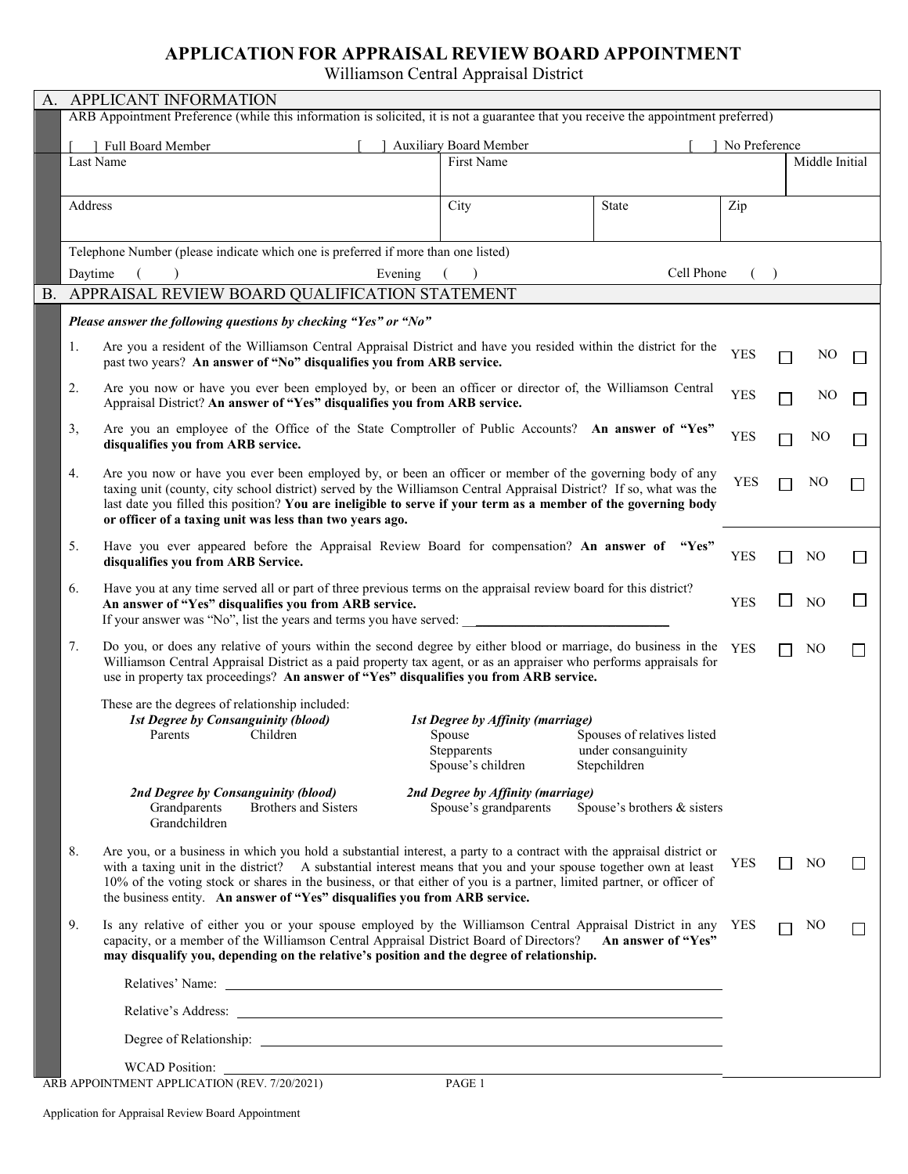## **APPLICATION FOR APPRAISAL REVIEW BOARD APPOINTMENT**

Williamson Central Appraisal District

| A.        | APPLICANT INFORMATION                                                                                                                                                                                        |                                                                  |                             |            |                          |                |        |  |
|-----------|--------------------------------------------------------------------------------------------------------------------------------------------------------------------------------------------------------------|------------------------------------------------------------------|-----------------------------|------------|--------------------------|----------------|--------|--|
|           | ARB Appointment Preference (while this information is solicited, it is not a guarantee that you receive the appointment preferred)                                                                           |                                                                  |                             |            |                          |                |        |  |
|           |                                                                                                                                                                                                              |                                                                  |                             |            | No Preference            |                |        |  |
|           | Last Name                                                                                                                                                                                                    | <b>Auxiliary Board Member</b><br>Full Board Member<br>First Name |                             |            | Middle Initial           |                |        |  |
|           |                                                                                                                                                                                                              |                                                                  |                             |            |                          |                |        |  |
|           |                                                                                                                                                                                                              |                                                                  |                             |            |                          |                |        |  |
|           | Address                                                                                                                                                                                                      | City                                                             | State                       | Zip        |                          |                |        |  |
|           |                                                                                                                                                                                                              |                                                                  |                             |            |                          |                |        |  |
|           | Telephone Number (please indicate which one is preferred if more than one listed)                                                                                                                            |                                                                  |                             |            |                          |                |        |  |
|           | Daytime<br>Evening                                                                                                                                                                                           |                                                                  | Cell Phone                  | $\lambda$  |                          |                |        |  |
| <b>B.</b> | APPRAISAL REVIEW BOARD QUALIFICATION STATEMENT                                                                                                                                                               |                                                                  |                             |            |                          |                |        |  |
|           | Please answer the following questions by checking "Yes" or "No"                                                                                                                                              |                                                                  |                             |            |                          |                |        |  |
|           |                                                                                                                                                                                                              |                                                                  |                             |            |                          |                |        |  |
|           | Are you a resident of the Williamson Central Appraisal District and have you resided within the district for the<br>1.                                                                                       |                                                                  |                             | <b>YES</b> |                          | NO             |        |  |
|           | past two years? An answer of "No" disqualifies you from ARB service.                                                                                                                                         |                                                                  |                             |            |                          |                |        |  |
|           | Are you now or have you ever been employed by, or been an officer or director of, the Williamson Central<br>2.                                                                                               |                                                                  |                             | <b>YES</b> | □                        | N <sub>O</sub> |        |  |
|           | Appraisal District? An answer of "Yes" disqualifies you from ARB service.                                                                                                                                    |                                                                  |                             |            |                          |                |        |  |
|           | Are you an employee of the Office of the State Comptroller of Public Accounts? An answer of "Yes"<br>3,                                                                                                      |                                                                  |                             | <b>YES</b> |                          | NO             |        |  |
|           | disqualifies you from ARB service.                                                                                                                                                                           |                                                                  |                             |            |                          |                |        |  |
|           | Are you now or have you ever been employed by, or been an officer or member of the governing body of any<br>4.                                                                                               |                                                                  |                             |            |                          |                |        |  |
|           | taxing unit (county, city school district) served by the Williamson Central Appraisal District? If so, what was the                                                                                          |                                                                  |                             | <b>YES</b> |                          | NO             |        |  |
|           | last date you filled this position? You are ineligible to serve if your term as a member of the governing body                                                                                               |                                                                  |                             |            |                          |                |        |  |
|           | or officer of a taxing unit was less than two years ago.                                                                                                                                                     |                                                                  |                             |            |                          |                |        |  |
|           | Have you ever appeared before the Appraisal Review Board for compensation? An answer of "Yes"<br>5.                                                                                                          |                                                                  |                             | <b>YES</b> |                          | N <sub>O</sub> |        |  |
|           | disqualifies you from ARB Service.                                                                                                                                                                           |                                                                  |                             |            |                          |                |        |  |
|           | Have you at any time served all or part of three previous terms on the appraisal review board for this district?<br>6.                                                                                       |                                                                  |                             |            |                          |                |        |  |
|           | An answer of "Yes" disqualifies you from ARB service.                                                                                                                                                        |                                                                  |                             | <b>YES</b> | $\Box$                   | NO.            |        |  |
|           | If your answer was "No", list the years and terms you have served:                                                                                                                                           |                                                                  |                             |            |                          |                |        |  |
|           | Do you, or does any relative of yours within the second degree by either blood or marriage, do business in the YES<br>7.                                                                                     |                                                                  |                             |            |                          | NO             | $\Box$ |  |
|           | Williamson Central Appraisal District as a paid property tax agent, or as an appraiser who performs appraisals for<br>use in property tax proceedings? An answer of "Yes" disqualifies you from ARB service. |                                                                  |                             |            |                          |                |        |  |
|           |                                                                                                                                                                                                              |                                                                  |                             |            |                          |                |        |  |
|           | These are the degrees of relationship included:                                                                                                                                                              |                                                                  |                             |            |                          |                |        |  |
|           | <b>1st Degree by Consanguinity (blood)</b><br>1st Degree by Affinity (marriage)<br>Children<br>Spouse<br>Spouses of relatives listed<br>Parents                                                              |                                                                  |                             |            |                          |                |        |  |
|           |                                                                                                                                                                                                              | Stepparents                                                      | under consanguinity         |            |                          |                |        |  |
|           |                                                                                                                                                                                                              | Spouse's children                                                | Stepchildren                |            |                          |                |        |  |
|           | 2nd Degree by Consanguinity (blood)                                                                                                                                                                          | 2nd Degree by Affinity (marriage)                                |                             |            |                          |                |        |  |
|           | Grandparents<br><b>Brothers and Sisters</b>                                                                                                                                                                  | Spouse's grandparents                                            | Spouse's brothers & sisters |            |                          |                |        |  |
|           | Grandchildren                                                                                                                                                                                                |                                                                  |                             |            |                          |                |        |  |
|           | 8.<br>Are you, or a business in which you hold a substantial interest, a party to a contract with the appraisal district or                                                                                  |                                                                  |                             |            |                          |                |        |  |
|           | with a taxing unit in the district? A substantial interest means that you and your spouse together own at least                                                                                              |                                                                  |                             | <b>YES</b> | $\overline{\phantom{a}}$ | NO.            |        |  |
|           | 10% of the voting stock or shares in the business, or that either of you is a partner, limited partner, or officer of<br>the business entity. An answer of "Yes" disqualifies you from ARB service.          |                                                                  |                             |            |                          |                |        |  |
|           |                                                                                                                                                                                                              |                                                                  |                             |            |                          |                |        |  |
|           | Is any relative of either you or your spouse employed by the Williamson Central Appraisal District in any YES<br>9.                                                                                          |                                                                  |                             |            |                          | NO             |        |  |
|           | capacity, or a member of the Williamson Central Appraisal District Board of Directors?<br>may disqualify you, depending on the relative's position and the degree of relationship.                           |                                                                  | An answer of "Yes"          |            |                          |                |        |  |
|           |                                                                                                                                                                                                              |                                                                  |                             |            |                          |                |        |  |
|           |                                                                                                                                                                                                              |                                                                  |                             |            |                          |                |        |  |
|           |                                                                                                                                                                                                              |                                                                  |                             |            |                          |                |        |  |
|           |                                                                                                                                                                                                              |                                                                  |                             |            |                          |                |        |  |
|           |                                                                                                                                                                                                              |                                                                  |                             |            |                          |                |        |  |
|           |                                                                                                                                                                                                              |                                                                  |                             |            |                          |                |        |  |
|           | ARB APPOINTMENT APPLICATION (REV. 7/20/2021)                                                                                                                                                                 | PAGE 1                                                           |                             |            |                          |                |        |  |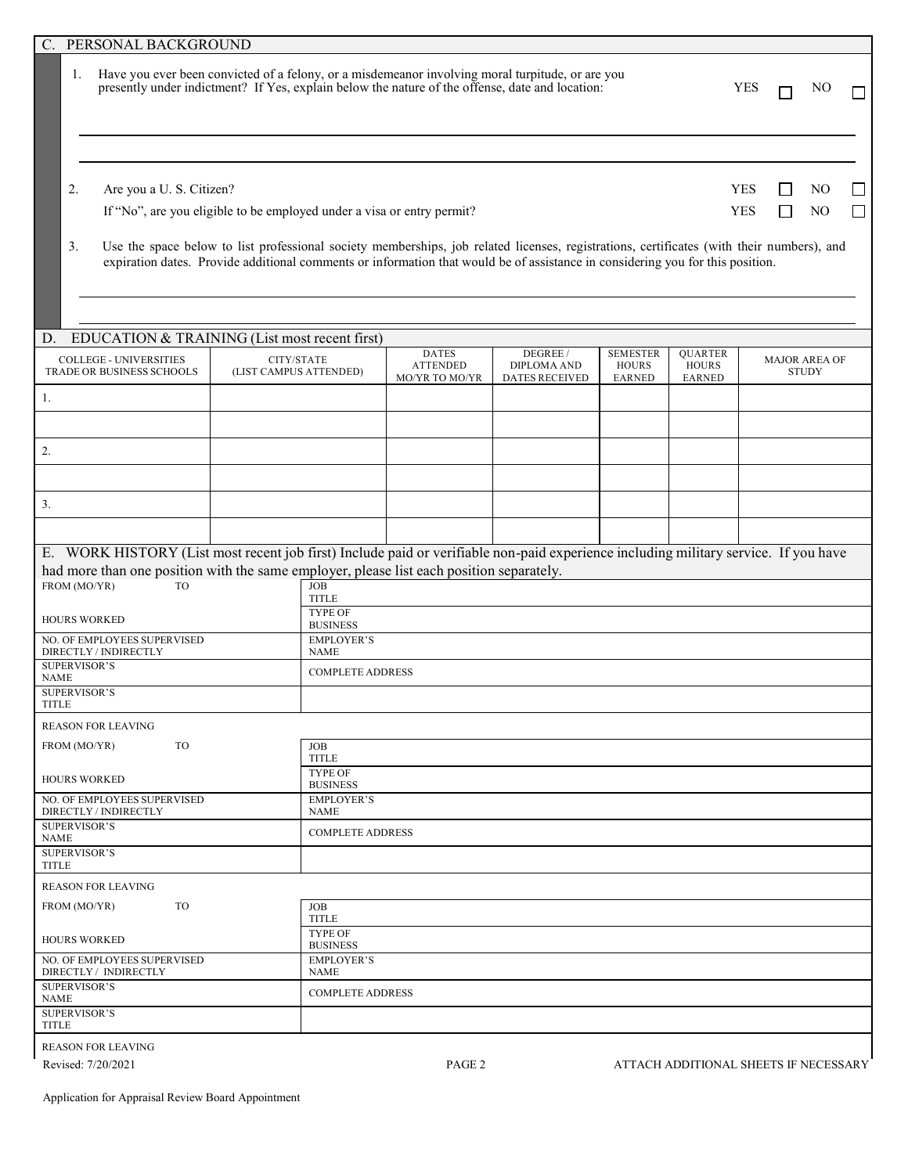| C. PERSONAL BACKGROUND                                                                                                                                                                                    |                                      |                                                                                                                        |                                                                                                                                                                                                                                                                             |                                                         |                                                  |                                                 |                          |              |                                      |                             |
|-----------------------------------------------------------------------------------------------------------------------------------------------------------------------------------------------------------|--------------------------------------|------------------------------------------------------------------------------------------------------------------------|-----------------------------------------------------------------------------------------------------------------------------------------------------------------------------------------------------------------------------------------------------------------------------|---------------------------------------------------------|--------------------------------------------------|-------------------------------------------------|--------------------------|--------------|--------------------------------------|-----------------------------|
| Have you ever been convicted of a felony, or a misdemeanor involving moral turpitude, or are you<br>1.<br>presently under indictment? If Yes, explain below the nature of the offense, date and location: |                                      |                                                                                                                        |                                                                                                                                                                                                                                                                             |                                                         |                                                  |                                                 | <b>YES</b>               |              | NO                                   |                             |
| 2.<br>Are you a U. S. Citizen?<br>If "No", are you eligible to be employed under a visa or entry permit?                                                                                                  |                                      |                                                                                                                        |                                                                                                                                                                                                                                                                             |                                                         |                                                  |                                                 | <b>YES</b><br><b>YES</b> | $\mathsf{L}$ | N <sub>O</sub><br>N <sub>O</sub>     | $\mathcal{L}_{\mathcal{A}}$ |
| 3.                                                                                                                                                                                                        |                                      |                                                                                                                        | Use the space below to list professional society memberships, job related licenses, registrations, certificates (with their numbers), and<br>expiration dates. Provide additional comments or information that would be of assistance in considering you for this position. |                                                         |                                                  |                                                 |                          |              |                                      |                             |
| EDUCATION & TRAINING (List most recent first)<br>D.                                                                                                                                                       |                                      |                                                                                                                        |                                                                                                                                                                                                                                                                             |                                                         |                                                  |                                                 |                          |              |                                      |                             |
| <b>COLLEGE - UNIVERSITIES</b><br>TRADE OR BUSINESS SCHOOLS                                                                                                                                                | CITY/STATE<br>(LIST CAMPUS ATTENDED) |                                                                                                                        | <b>DATES</b><br><b>ATTENDED</b><br>MO/YR TO MO/YR                                                                                                                                                                                                                           | DEGREE /<br><b>DIPLOMA AND</b><br><b>DATES RECEIVED</b> | <b>SEMESTER</b><br><b>HOURS</b><br><b>EARNED</b> | <b>QUARTER</b><br><b>HOURS</b><br><b>EARNED</b> |                          |              | <b>MAJOR AREA OF</b><br><b>STUDY</b> |                             |
| -1.                                                                                                                                                                                                       |                                      |                                                                                                                        |                                                                                                                                                                                                                                                                             |                                                         |                                                  |                                                 |                          |              |                                      |                             |
| 2.                                                                                                                                                                                                        |                                      |                                                                                                                        |                                                                                                                                                                                                                                                                             |                                                         |                                                  |                                                 |                          |              |                                      |                             |
|                                                                                                                                                                                                           |                                      |                                                                                                                        |                                                                                                                                                                                                                                                                             |                                                         |                                                  |                                                 |                          |              |                                      |                             |
| 3.                                                                                                                                                                                                        |                                      |                                                                                                                        |                                                                                                                                                                                                                                                                             |                                                         |                                                  |                                                 |                          |              |                                      |                             |
|                                                                                                                                                                                                           |                                      |                                                                                                                        |                                                                                                                                                                                                                                                                             |                                                         |                                                  |                                                 |                          |              |                                      |                             |
| E. WORK HISTORY (List most recent job first) Include paid or verifiable non-paid experience including military service. If you have                                                                       |                                      |                                                                                                                        |                                                                                                                                                                                                                                                                             |                                                         |                                                  |                                                 |                          |              |                                      |                             |
| FROM (MO/YR)<br>TO                                                                                                                                                                                        |                                      | had more than one position with the same employer, please list each position separately.<br><b>JOB</b><br><b>TITLE</b> |                                                                                                                                                                                                                                                                             |                                                         |                                                  |                                                 |                          |              |                                      |                             |
| <b>HOURS WORKED</b>                                                                                                                                                                                       | <b>TYPE OF</b><br><b>BUSINESS</b>    |                                                                                                                        |                                                                                                                                                                                                                                                                             |                                                         |                                                  |                                                 |                          |              |                                      |                             |
| NO. OF EMPLOYEES SUPERVISED<br>DIRECTLY / INDIRECTLY                                                                                                                                                      | <b>EMPLOYER'S</b><br><b>NAME</b>     |                                                                                                                        |                                                                                                                                                                                                                                                                             |                                                         |                                                  |                                                 |                          |              |                                      |                             |
| <b>SUPERVISOR'S</b><br><b>NAME</b>                                                                                                                                                                        | <b>COMPLETE ADDRESS</b>              |                                                                                                                        |                                                                                                                                                                                                                                                                             |                                                         |                                                  |                                                 |                          |              |                                      |                             |
| <b>SUPERVISOR'S</b><br>TITLE                                                                                                                                                                              |                                      |                                                                                                                        |                                                                                                                                                                                                                                                                             |                                                         |                                                  |                                                 |                          |              |                                      |                             |
| <b>REASON FOR LEAVING</b>                                                                                                                                                                                 |                                      |                                                                                                                        |                                                                                                                                                                                                                                                                             |                                                         |                                                  |                                                 |                          |              |                                      |                             |
| TO<br>FROM (MO/YR)                                                                                                                                                                                        |                                      | <b>JOB</b><br><b>TITLE</b>                                                                                             |                                                                                                                                                                                                                                                                             |                                                         |                                                  |                                                 |                          |              |                                      |                             |
| <b>HOURS WORKED</b>                                                                                                                                                                                       |                                      | <b>TYPE OF</b><br><b>BUSINESS</b>                                                                                      |                                                                                                                                                                                                                                                                             |                                                         |                                                  |                                                 |                          |              |                                      |                             |
| NO. OF EMPLOYEES SUPERVISED<br>DIRECTLY / INDIRECTLY                                                                                                                                                      | <b>EMPLOYER'S</b><br><b>NAME</b>     |                                                                                                                        |                                                                                                                                                                                                                                                                             |                                                         |                                                  |                                                 |                          |              |                                      |                             |
| <b>SUPERVISOR'S</b><br>NAME                                                                                                                                                                               |                                      | <b>COMPLETE ADDRESS</b>                                                                                                |                                                                                                                                                                                                                                                                             |                                                         |                                                  |                                                 |                          |              |                                      |                             |
| <b>SUPERVISOR'S</b><br>TITLE                                                                                                                                                                              |                                      |                                                                                                                        |                                                                                                                                                                                                                                                                             |                                                         |                                                  |                                                 |                          |              |                                      |                             |
| <b>REASON FOR LEAVING</b>                                                                                                                                                                                 |                                      |                                                                                                                        |                                                                                                                                                                                                                                                                             |                                                         |                                                  |                                                 |                          |              |                                      |                             |
| TO<br><b>JOB</b><br>FROM (MO/YR)<br><b>TITLE</b>                                                                                                                                                          |                                      |                                                                                                                        |                                                                                                                                                                                                                                                                             |                                                         |                                                  |                                                 |                          |              |                                      |                             |
| <b>TYPE OF</b><br><b>HOURS WORKED</b><br><b>BUSINESS</b>                                                                                                                                                  |                                      |                                                                                                                        |                                                                                                                                                                                                                                                                             |                                                         |                                                  |                                                 |                          |              |                                      |                             |
| NO. OF EMPLOYEES SUPERVISED<br>DIRECTLY / INDIRECTLY                                                                                                                                                      | <b>EMPLOYER'S</b><br><b>NAME</b>     |                                                                                                                        |                                                                                                                                                                                                                                                                             |                                                         |                                                  |                                                 |                          |              |                                      |                             |
| <b>SUPERVISOR'S</b><br>NAME                                                                                                                                                                               |                                      | <b>COMPLETE ADDRESS</b>                                                                                                |                                                                                                                                                                                                                                                                             |                                                         |                                                  |                                                 |                          |              |                                      |                             |
| <b>SUPERVISOR'S</b><br><b>TITLE</b>                                                                                                                                                                       |                                      |                                                                                                                        |                                                                                                                                                                                                                                                                             |                                                         |                                                  |                                                 |                          |              |                                      |                             |
| <b>REASON FOR LEAVING</b>                                                                                                                                                                                 |                                      |                                                                                                                        |                                                                                                                                                                                                                                                                             |                                                         |                                                  |                                                 |                          |              |                                      |                             |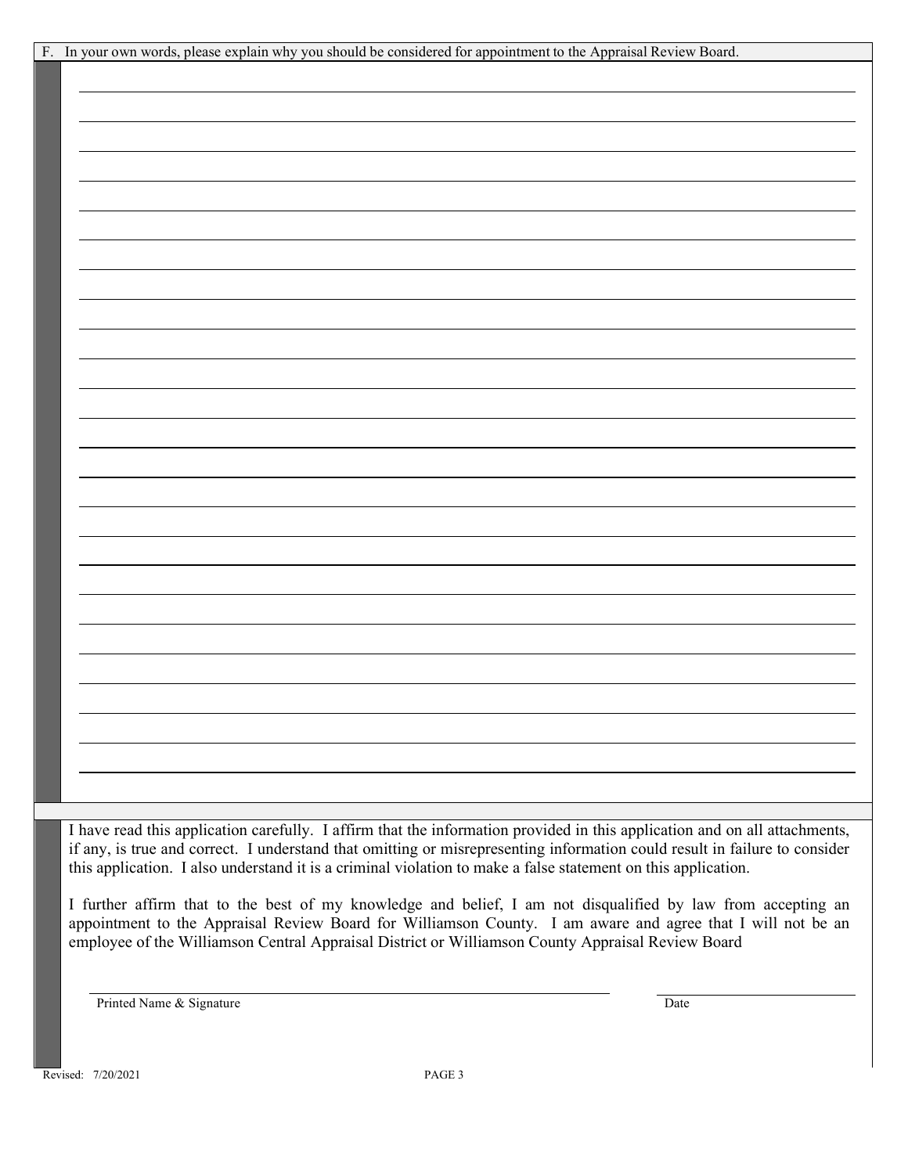| F. In your own words, please explain why you should be considered for appointment to the Appraisal Review Board.                                                                                                                                                                                                                                                          |
|---------------------------------------------------------------------------------------------------------------------------------------------------------------------------------------------------------------------------------------------------------------------------------------------------------------------------------------------------------------------------|
|                                                                                                                                                                                                                                                                                                                                                                           |
|                                                                                                                                                                                                                                                                                                                                                                           |
|                                                                                                                                                                                                                                                                                                                                                                           |
|                                                                                                                                                                                                                                                                                                                                                                           |
|                                                                                                                                                                                                                                                                                                                                                                           |
|                                                                                                                                                                                                                                                                                                                                                                           |
|                                                                                                                                                                                                                                                                                                                                                                           |
|                                                                                                                                                                                                                                                                                                                                                                           |
|                                                                                                                                                                                                                                                                                                                                                                           |
|                                                                                                                                                                                                                                                                                                                                                                           |
|                                                                                                                                                                                                                                                                                                                                                                           |
|                                                                                                                                                                                                                                                                                                                                                                           |
|                                                                                                                                                                                                                                                                                                                                                                           |
|                                                                                                                                                                                                                                                                                                                                                                           |
|                                                                                                                                                                                                                                                                                                                                                                           |
|                                                                                                                                                                                                                                                                                                                                                                           |
|                                                                                                                                                                                                                                                                                                                                                                           |
|                                                                                                                                                                                                                                                                                                                                                                           |
|                                                                                                                                                                                                                                                                                                                                                                           |
|                                                                                                                                                                                                                                                                                                                                                                           |
|                                                                                                                                                                                                                                                                                                                                                                           |
|                                                                                                                                                                                                                                                                                                                                                                           |
|                                                                                                                                                                                                                                                                                                                                                                           |
|                                                                                                                                                                                                                                                                                                                                                                           |
|                                                                                                                                                                                                                                                                                                                                                                           |
|                                                                                                                                                                                                                                                                                                                                                                           |
|                                                                                                                                                                                                                                                                                                                                                                           |
|                                                                                                                                                                                                                                                                                                                                                                           |
|                                                                                                                                                                                                                                                                                                                                                                           |
|                                                                                                                                                                                                                                                                                                                                                                           |
|                                                                                                                                                                                                                                                                                                                                                                           |
|                                                                                                                                                                                                                                                                                                                                                                           |
|                                                                                                                                                                                                                                                                                                                                                                           |
|                                                                                                                                                                                                                                                                                                                                                                           |
|                                                                                                                                                                                                                                                                                                                                                                           |
|                                                                                                                                                                                                                                                                                                                                                                           |
| I have read this application carefully. I affirm that the information provided in this application and on all attachments,<br>if any, is true and correct. I understand that omitting or misrepresenting information could result in failure to consider<br>this application. I also understand it is a criminal violation to make a false statement on this application. |
| I further offirm that to the best of my knowledge and belief. I am not discuplified by law from eccenting an                                                                                                                                                                                                                                                              |

I further affirm that to the best of my knowledge and belief, I am not disqualified by law from accepting an appointment to the Appraisal Review Board for Williamson County. I am aware and agree that I will not be an employee of the Williamson Central Appraisal District or Williamson County Appraisal Review Board

Printed Name & Signature Date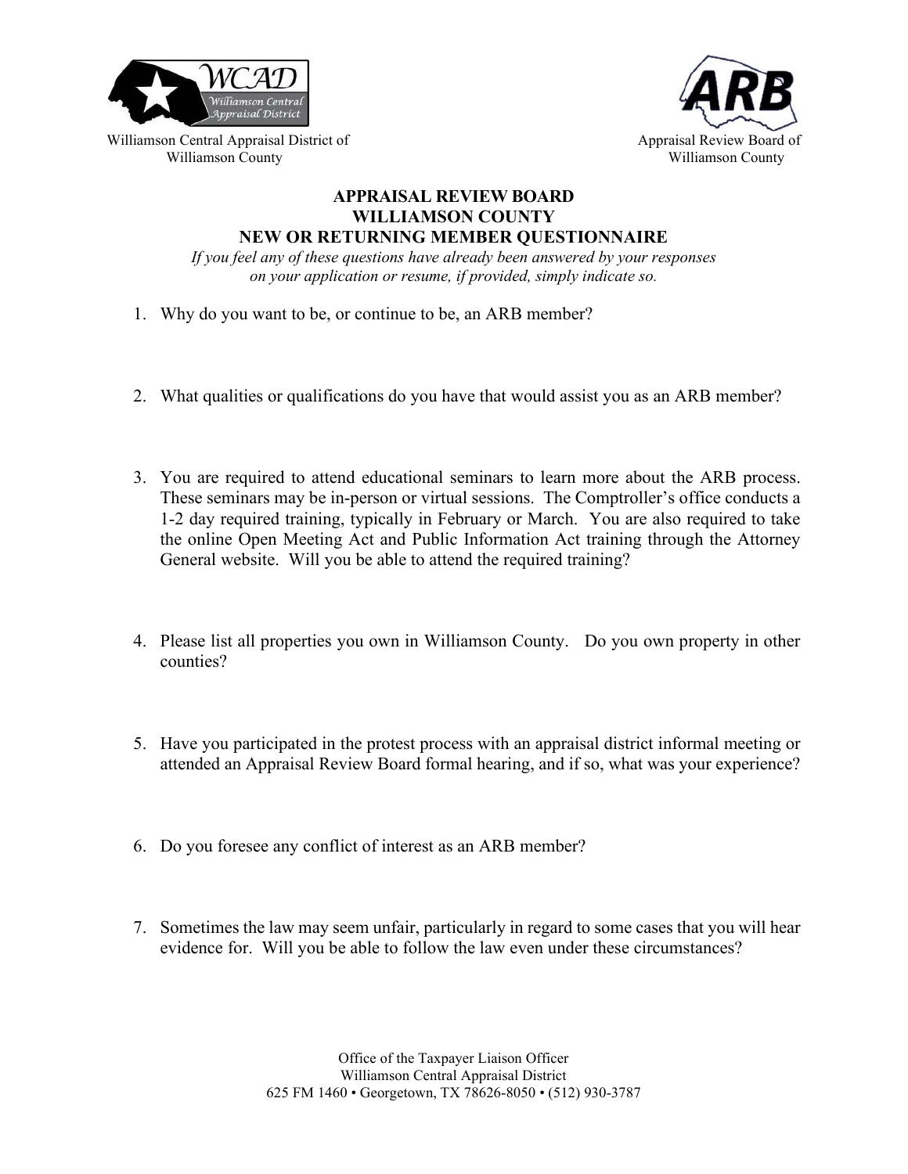



Williamson Central Appraisal District of Appraisal Review Board of Appraisal Review Board of Williamson County **Williamson County Williamson County Williamson County** 

## **APPRAISAL REVIEW BOARD WILLIAMSON COUNTY**

**NEW OR RETURNING MEMBER QUESTIONNAIRE** 

*If you feel any of these questions have already been answered by your responses on your application or resume, if provided, simply indicate so.* 

- 1. Why do you want to be, or continue to be, an ARB member?
- 2. What qualities or qualifications do you have that would assist you as an ARB member?
- 3. You are required to attend educational seminars to learn more about the ARB process. These seminars may be in-person or virtual sessions. The Comptroller's office conducts a 1-2 day required training, typically in February or March. You are also required to take the online Open Meeting Act and Public Information Act training through the Attorney General website. Will you be able to attend the required training?
- 4. Please list all properties you own in Williamson County. Do you own property in other counties?
- 5. Have you participated in the protest process with an appraisal district informal meeting or attended an Appraisal Review Board formal hearing, and if so, what was your experience?
- 6. Do you foresee any conflict of interest as an ARB member?
- 7. Sometimes the law may seem unfair, particularly in regard to some cases that you will hear evidence for. Will you be able to follow the law even under these circumstances?